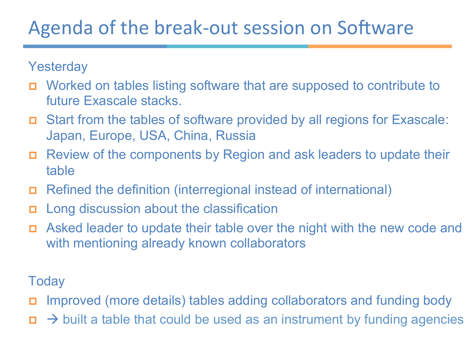#### Agenda of the break-out session on Software

**Yesterday** 

- p Worked on tables listing software that are supposed to contribute to future Exascale stacks.
- p Start from the tables of software provided by all regions for Exascale: Japan, Europe, USA, China, Russia
- p Review of the components by Region and ask leaders to update their table
- p Refined the definition (interregional instead of international)
- p Long discussion about the classification
- p Asked leader to update their table over the night with the new code and with mentioning already known collaborators

**Today** 

- p Improved (more details) tables adding collaborators and funding body
- $\Box \rightarrow$  built a table that could be used as an instrument by funding agencies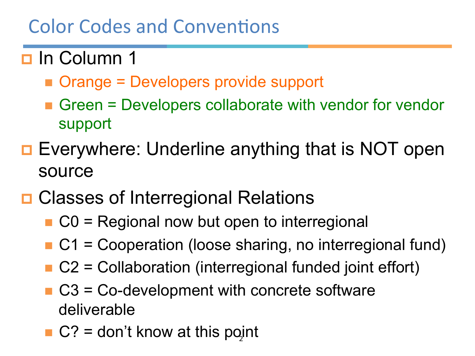#### **Color Codes and Conventions**

#### **p** In Column 1

- Orange = Developers provide support
- **n** Green = Developers collaborate with vendor for vendor support
- **D** Everywhere: Underline anything that is NOT open source

### **□ Classes of Interregional Relations**

- $\blacksquare$  C0 = Regional now but open to interregional
- $\blacksquare$  C1 = Cooperation (loose sharing, no interregional fund)
- $\blacksquare$  C2 = Collaboration (interregional funded joint effort)
- $\blacksquare$  C3 = Co-development with concrete software deliverable
- $C$ ? = don't know at this point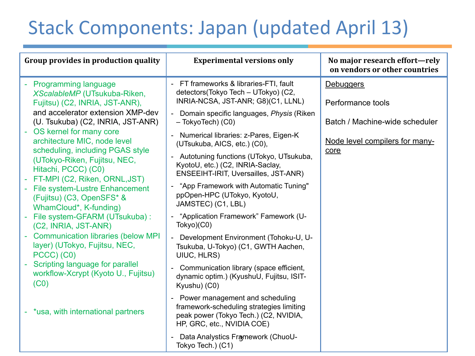# Stack Components: Japan (updated April 13)

| Group provides in production quality                                                          | <b>Experimental versions only</b>                                                                                                                  | No major research effort-rely<br>on vendors or other countries |
|-----------------------------------------------------------------------------------------------|----------------------------------------------------------------------------------------------------------------------------------------------------|----------------------------------------------------------------|
| - Programming language<br>XScalableMP (UTsukuba-Riken,<br>Fujitsu) (C2, INRIA, JST-ANR),      | FT frameworks & libraries-FTI, fault<br>detectors(Tokyo Tech - UTokyo) (C2,<br>INRIA-NCSA, JST-ANR; G8)(C1, LLNL)                                  | <b>Debuggers</b><br>Performance tools                          |
| and accelerator extension XMP-dev<br>(U. Tsukuba) (C2, INRIA, JST-ANR)                        | Domain specific languages, Physis (Riken<br>$\overline{\phantom{a}}$<br>$-$ TokyoTech $)$ (C0)                                                     | Batch / Machine-wide scheduler                                 |
| - OS kernel for many core<br>architecture MIC, node level<br>scheduling, including PGAS style | Numerical libraries: z-Pares, Eigen-K<br>$\overline{\phantom{a}}$<br>(UTsukuba, AICS, etc.) (C0),                                                  | Node level compilers for many-<br>core                         |
| (UTokyo-Riken, Fujitsu, NEC,<br>Hitachi, PCCC) (C0)<br>- FT-MPI (C2, Riken, ORNL, JST)        | Autotuning functions (UTokyo, UTsukuba,<br>÷,<br>KyotoU, etc.) (C2, INRIA-Saclay,<br>ENSEEIHT-IRIT, Uversailles, JST-ANR)                          |                                                                |
| - File system-Lustre Enhancement<br>(Fujitsu) (C3, OpenSFS* &<br>WhamCloud*, K-funding)       | "App Framework with Automatic Tuning"<br>$\overline{\phantom{0}}$<br>ppOpen-HPC (UTokyo, KyotoU,<br>JAMSTEC) (C1, LBL)                             |                                                                |
| - File system-GFARM (UTsukuba) :<br>(C2, INRIA, JST-ANR)                                      | "Application Framework" Famework (U-<br>÷,<br>Tokyo)(C0)                                                                                           |                                                                |
| <b>Communication libraries (below MPI</b><br>layer) (UTokyo, Fujitsu, NEC,<br>PCCC) (C0)      | Development Environment (Tohoku-U, U-<br>$\overline{a}$<br>Tsukuba, U-Tokyo) (C1, GWTH Aachen,<br>UIUC, HLRS)                                      |                                                                |
| Scripting language for parallel<br>workflow-Xcrypt (Kyoto U., Fujitsu)<br>(C <sub>0</sub> )   | Communication library (space efficient,<br>$\overline{\phantom{a}}$<br>dynamic optim.) (KyushuU, Fujitsu, ISIT-<br>Kyushu) (C0)                    |                                                                |
| - *usa, with international partners                                                           | Power management and scheduling<br>framework-scheduling strategies limiting<br>peak power (Tokyo Tech.) (C2, NVIDIA,<br>HP, GRC, etc., NVIDIA COE) |                                                                |
|                                                                                               | Data Analystics Framework (ChuoU-<br>Tokyo Tech.) (C1)                                                                                             |                                                                |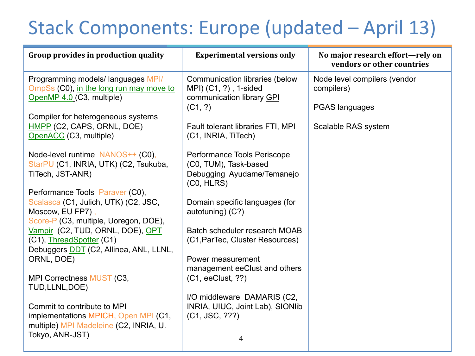# Stack Components: Europe (updated – April 13)

| Group provides in production quality                                                                       | <b>Experimental versions only</b>                                                                | No major research effort—rely on<br>vendors or other countries |
|------------------------------------------------------------------------------------------------------------|--------------------------------------------------------------------------------------------------|----------------------------------------------------------------|
| Programming models/ languages MPI/<br>OmpSs (C0), in the long run may move to<br>OpenMP 4.0 (C3, multiple) | Communication libraries (below<br>MPI) (C1, ?), 1-sided<br>communication library GPI             | Node level compilers (vendor<br>compilers)                     |
| Compiler for heterogeneous systems                                                                         | (C1, ?)                                                                                          | <b>PGAS languages</b>                                          |
| HMPP (C2, CAPS, ORNL, DOE)<br>OpenACC (C3, multiple)                                                       | Fault tolerant libraries FTI, MPI<br>(C1, INRIA, TiTech)                                         | Scalable RAS system                                            |
| Node-level runtime NANOS++ (C0),<br>StarPU (C1, INRIA, UTK) (C2, Tsukuba,<br>TiTech, JST-ANR)              | Performance Tools Periscope<br>(C0, TUM), Task-based<br>Debugging Ayudame/Temanejo<br>(C0, HLRS) |                                                                |
| Performance Tools Paraver (C0),                                                                            |                                                                                                  |                                                                |
| Scalasca (C1, Julich, UTK) (C2, JSC,<br>Moscow, EU FP7),<br>Score-P (C3, multiple, Uoregon, DOE),          | Domain specific languages (for<br>autotuning) (C?)                                               |                                                                |
| Vampir (C2, TUD, ORNL, DOE), OPT<br>(C1), ThreadSpotter (C1)                                               | Batch scheduler research MOAB<br>(C1, ParTec, Cluster Resources)                                 |                                                                |
| Debuggers DDT (C2, Allinea, ANL, LLNL,<br>ORNL, DOE)                                                       | Power measurement<br>management eeClust and others                                               |                                                                |
| MPI Correctness MUST (C3,<br>TUD, LLNL, DOE)                                                               | (C1, eeClust, ??)                                                                                |                                                                |
| Commit to contribute to MPI<br>implementations MPICH, Open MPI (C1,                                        | I/O middleware DAMARIS (C2,<br>INRIA, UIUC, Joint Lab), SIONIib<br>(C1, JSC, ???)                |                                                                |
| multiple) MPI Madeleine (C2, INRIA, U.<br>Tokyo, ANR-JST)                                                  | 4                                                                                                |                                                                |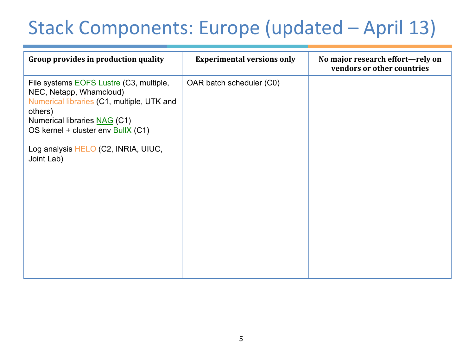## Stack Components: Europe (updated – April 13)

| Group provides in production quality                                                                                                                                                                                                                   | <b>Experimental versions only</b> | No major research effort-rely on<br>vendors or other countries |
|--------------------------------------------------------------------------------------------------------------------------------------------------------------------------------------------------------------------------------------------------------|-----------------------------------|----------------------------------------------------------------|
| File systems EOFS Lustre (C3, multiple,<br>NEC, Netapp, Whamcloud)<br>Numerical libraries (C1, multiple, UTK and<br>others)<br>Numerical libraries NAG (C1)<br>OS kernel + cluster env BullX (C1)<br>Log analysis HELO (C2, INRIA, UIUC,<br>Joint Lab) | OAR batch scheduler (C0)          |                                                                |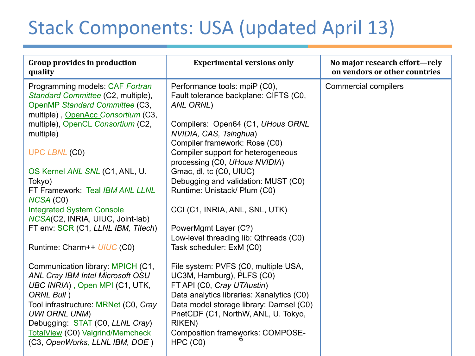## Stack Components: USA (updated April 13)

| <b>Group provides in production</b><br>quality                                                                                                                                                                                                                      | <b>Experimental versions only</b>                                                                                                                                                                                                                                                          | No major research effort-rely<br>on vendors or other countries |
|---------------------------------------------------------------------------------------------------------------------------------------------------------------------------------------------------------------------------------------------------------------------|--------------------------------------------------------------------------------------------------------------------------------------------------------------------------------------------------------------------------------------------------------------------------------------------|----------------------------------------------------------------|
| Programming models: CAF Fortran<br>Standard Committee (C2, multiple),<br>OpenMP Standard Committee (C3,<br>multiple), OpenAcc Consortium (C3,                                                                                                                       | Performance tools: mpiP (C0),<br>Fault tolerance backplane: CIFTS (C0,<br>ANL ORNL)                                                                                                                                                                                                        | <b>Commercial compilers</b>                                    |
| multiple), OpenCL Consortium (C2,<br>multiple)                                                                                                                                                                                                                      | Compilers: Open64 (C1, UHous ORNL<br>NVIDIA, CAS, Tsinghua)<br>Compiler framework: Rose (C0)                                                                                                                                                                                               |                                                                |
| <b>UPC LBNL (C0)</b>                                                                                                                                                                                                                                                | Compiler support for heterogeneous<br>processing (C0, UHous NVIDIA)                                                                                                                                                                                                                        |                                                                |
| OS Kernel ANL SNL (C1, ANL, U.<br>Tokyo)<br>FT Framework: Teal IBM ANL LLNL                                                                                                                                                                                         | Gmac, dl, tc (C0, UIUC)<br>Debugging and validation: MUST (C0)<br>Runtime: Unistack/ Plum (C0)                                                                                                                                                                                             |                                                                |
| NCSA (C0)<br><b>Integrated System Console</b>                                                                                                                                                                                                                       | CCI (C1, INRIA, ANL, SNL, UTK)                                                                                                                                                                                                                                                             |                                                                |
| NCSA(C2, INRIA, UIUC, Joint-lab)<br>FT env: SCR (C1, LLNL IBM, Titech)                                                                                                                                                                                              | PowerMgmt Layer (C?)                                                                                                                                                                                                                                                                       |                                                                |
| Runtime: Charm++ UIUC (C0)                                                                                                                                                                                                                                          | Low-level threading lib: Qthreads (C0)<br>Task scheduler: ExM (C0)                                                                                                                                                                                                                         |                                                                |
| Communication library: MPICH (C1,<br>ANL Cray IBM Intel Microsoft OSU<br>UBC INRIA), Open MPI (C1, UTK,<br>ORNL Bull)<br>Tool infrastructure: MRNet (C0, Cray<br><b>UWI ORNL UNM)</b><br>Debugging: STAT (C0, LLNL Cray)<br><b>TotalView (C0) Valgrind/Memcheck</b> | File system: PVFS (C0, multiple USA,<br>UC3M, Hamburg), PLFS (C0)<br>FT API (C0, Cray UTAustin)<br>Data analytics libraries: Xanalytics (C0)<br>Data model storage library: Damsel (C0)<br>PnetCDF (C1, NorthW, ANL, U. Tokyo,<br><b>RIKEN)</b><br><b>Composition frameworks: COMPOSE-</b> |                                                                |
| (C3, OpenWorks, LLNL IBM, DOE)                                                                                                                                                                                                                                      | HPC (CO)                                                                                                                                                                                                                                                                                   |                                                                |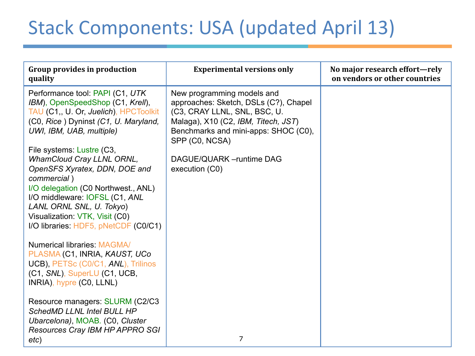## Stack Components: USA (updated April 13)

| <b>Group provides in production</b><br>quality                                                                                                                                                                                                                                                                                                                                                                                                                                    | <b>Experimental versions only</b>                                                                                                                                                                                                                   | No major research effort-rely<br>on vendors or other countries |
|-----------------------------------------------------------------------------------------------------------------------------------------------------------------------------------------------------------------------------------------------------------------------------------------------------------------------------------------------------------------------------------------------------------------------------------------------------------------------------------|-----------------------------------------------------------------------------------------------------------------------------------------------------------------------------------------------------------------------------------------------------|----------------------------------------------------------------|
| Performance tool: PAPI (C1, UTK)<br>IBM), OpenSpeedShop (C1, Krell),<br>TAU (C1,, U. Or, Juelich), HPCToolkit<br>(C0, Rice) Dyninst (C1, U. Maryland,<br>UWI, IBM, UAB, multiple)<br>File systems: Lustre (C3,<br><b>WhamCloud Cray LLNL ORNL,</b><br>OpenSFS Xyratex, DDN, DOE and<br>commercial)<br>I/O delegation (C0 Northwest., ANL)<br>I/O middleware: IOFSL (C1, ANL<br>LANL ORNL SNL, U. Tokyo)<br>Visualization: VTK, Visit (C0)<br>I/O libraries. HDF5, pNetCDF (C0/C1) | New programming models and<br>approaches: Sketch, DSLs (C?), Chapel<br>(C3, CRAY LLNL, SNL, BSC, U.<br>Malaga), X10 (C2, IBM, Titech, JST)<br>Benchmarks and mini-apps: SHOC (C0),<br>SPP (C0, NCSA)<br>DAGUE/QUARK - runtime DAG<br>execution (C0) |                                                                |
| <b>Numerical libraries: MAGMA/</b><br>PLASMA (C1, INRIA, KAUST, UCo<br>UCB), PETSc (C0/C1, ANL), Trilinos<br>(C1, SNL), SuperLU (C1, UCB,<br>INRIA), hypre (C0, LLNL)                                                                                                                                                                                                                                                                                                             |                                                                                                                                                                                                                                                     |                                                                |
| Resource managers: SLURM (C2/C3<br><b>SchedMD LLNL Intel BULL HP</b><br>Ubarcelona), MOAB. (C0, Cluster<br>Resources Cray IBM HP APPRO SGI<br>etc)                                                                                                                                                                                                                                                                                                                                | 7                                                                                                                                                                                                                                                   |                                                                |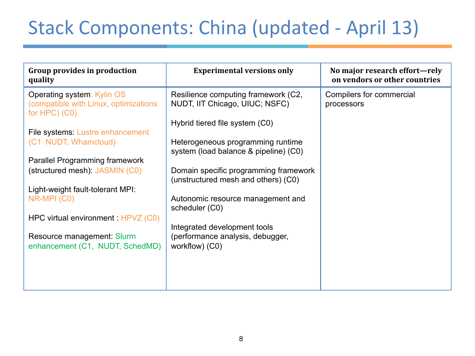# Stack Components: China (updated - April 13)

| Group provides in production<br>quality                                                     | <b>Experimental versions only</b>                                            | No major research effort-rely<br>on vendors or other countries |
|---------------------------------------------------------------------------------------------|------------------------------------------------------------------------------|----------------------------------------------------------------|
| Operating system: Kylin OS<br>(compatible with Linux, optimizations<br>for $HPC$ ) ( $CO$ ) | Resilience computing framework (C2,<br>NUDT, IIT Chicago, UIUC; NSFC)        | Compilers for commercial<br>processors                         |
| File systems: Lustre enhancement                                                            | Hybrid tiered file system (C0)                                               |                                                                |
| (C1 NUDT, Whamcloud)                                                                        | Heterogeneous programming runtime<br>system (load balance & pipeline) (C0)   |                                                                |
| <b>Parallel Programming framework</b>                                                       |                                                                              |                                                                |
| (structured mesh): JASMIN (C0)                                                              | Domain specific programming framework<br>(unstructured mesh and others) (C0) |                                                                |
| Light-weight fault-tolerant MPI:                                                            |                                                                              |                                                                |
| NR-MPI (C0)                                                                                 | Autonomic resource management and<br>scheduler (C0)                          |                                                                |
| HPC virtual environment : HPVZ (C0)                                                         |                                                                              |                                                                |
|                                                                                             | Integrated development tools                                                 |                                                                |
| Resource management: Slurm<br>enhancement (C1, NUDT, SchedMD)                               | (performance analysis, debugger,<br>workflow) (C0)                           |                                                                |
|                                                                                             |                                                                              |                                                                |
|                                                                                             |                                                                              |                                                                |
|                                                                                             |                                                                              |                                                                |
|                                                                                             |                                                                              |                                                                |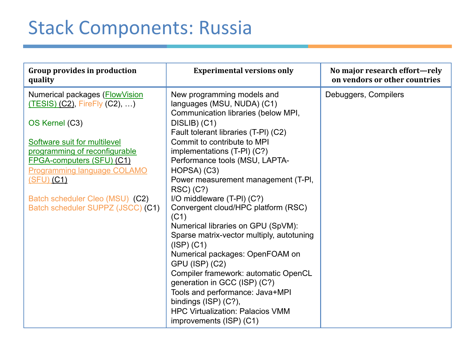### Stack Components: Russia

| Group provides in production<br>quality                                                                                                                                                                                                                                                                            | <b>Experimental versions only</b>                                                                                                                                                                                                                                                                                                                                                                                                                                                                                                               | No major research effort-rely<br>on vendors or other countries |
|--------------------------------------------------------------------------------------------------------------------------------------------------------------------------------------------------------------------------------------------------------------------------------------------------------------------|-------------------------------------------------------------------------------------------------------------------------------------------------------------------------------------------------------------------------------------------------------------------------------------------------------------------------------------------------------------------------------------------------------------------------------------------------------------------------------------------------------------------------------------------------|----------------------------------------------------------------|
| Numerical packages (FlowVision<br>(TESIS) (C2), FireFly (C2), )<br>OS Kernel (C3)<br>Software suit for multilevel<br>programming of reconfigurable<br><b>FPGA-computers (SFU) (C1)</b><br><b>Programming language COLAMO</b><br>(SFU) (C1)<br>Batch scheduler Cleo (MSU) (C2)<br>Batch scheduler SUPPZ (JSCC) (C1) | New programming models and<br>languages (MSU, NUDA) (C1)<br>Communication libraries (below MPI,<br>DISLIB) (C1)<br>Fault tolerant libraries (T-PI) (C2)<br>Commit to contribute to MPI<br>implementations (T-PI) (C?)<br>Performance tools (MSU, LAPTA-<br>HOPSA) (C3)<br>Power measurement management (T-PI,<br>RSC) (C?)<br>I/O middleware (T-PI) (C?)<br>Convergent cloud/HPC platform (RSC)<br>(C1)<br>Numerical libraries on GPU (SpVM):<br>Sparse matrix-vector multiply, autotuning<br>$(ISP)$ $(C1)$<br>Numerical packages: OpenFOAM on | Debuggers, Compilers                                           |
|                                                                                                                                                                                                                                                                                                                    | <b>GPU (ISP) (C2)</b><br>Compiler framework: automatic OpenCL<br>generation in GCC (ISP) (C?)<br>Tools and performance: Java+MPI<br>bindings (ISP) (C?),<br><b>HPC Virtualization: Palacios VMM</b><br>improvements (ISP) (C1)                                                                                                                                                                                                                                                                                                                  |                                                                |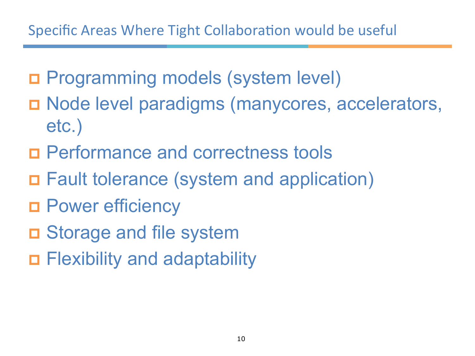- p Programming models (system level)
- p Node level paradigms (manycores, accelerators, etc.)
- p Performance and correctness tools
- p Fault tolerance (system and application)
- **D** Power efficiency
- **D** Storage and file system
- p Flexibility and adaptability